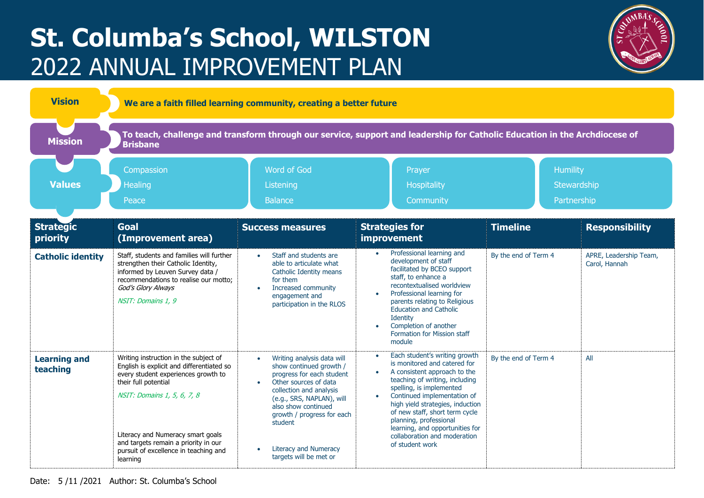## **St. Columba's School, WILSTON** 2022 ANNUAL IMPROVEMENT PLAN



| <b>Vision</b>                   | We are a faith filled learning community, creating a better future                                                                                                                                                                                                                                                 |                                                                                                                                                                                                                                                                                                                                      |                                                                                                                                                                                                                                                                                                                                                                                                            |                                               |                                         |  |  |  |
|---------------------------------|--------------------------------------------------------------------------------------------------------------------------------------------------------------------------------------------------------------------------------------------------------------------------------------------------------------------|--------------------------------------------------------------------------------------------------------------------------------------------------------------------------------------------------------------------------------------------------------------------------------------------------------------------------------------|------------------------------------------------------------------------------------------------------------------------------------------------------------------------------------------------------------------------------------------------------------------------------------------------------------------------------------------------------------------------------------------------------------|-----------------------------------------------|-----------------------------------------|--|--|--|
| <b>Mission</b>                  | To teach, challenge and transform through our service, support and leadership for Catholic Education in the Archdiocese of<br><b>Brisbane</b>                                                                                                                                                                      |                                                                                                                                                                                                                                                                                                                                      |                                                                                                                                                                                                                                                                                                                                                                                                            |                                               |                                         |  |  |  |
| <b>Values</b>                   | Compassion<br>Healing<br>Peace                                                                                                                                                                                                                                                                                     | Word of God<br>Listening<br><b>Balance</b>                                                                                                                                                                                                                                                                                           | Prayer<br>Hospitality<br>Community                                                                                                                                                                                                                                                                                                                                                                         | <b>Humility</b><br>Stewardship<br>Partnership |                                         |  |  |  |
| <b>Strategic</b><br>priority    | <b>Goal</b><br>(Improvement area)                                                                                                                                                                                                                                                                                  | <b>Success measures</b>                                                                                                                                                                                                                                                                                                              | <b>Strategies for</b><br><b>improvement</b>                                                                                                                                                                                                                                                                                                                                                                | <b>Timeline</b>                               | <b>Responsibility</b>                   |  |  |  |
| <b>Catholic identity</b>        | Staff, students and families will further<br>strengthen their Catholic Identity,<br>informed by Leuven Survey data /<br>recommendations to realise our motto:<br>God's Glory Always<br>NSIT: Domains 1, 9                                                                                                          | Staff and students are<br>$\bullet$<br>able to articulate what<br>Catholic Identity means<br>for them<br>Increased community<br>$\bullet$<br>engagement and<br>participation in the RLOS                                                                                                                                             | Professional learning and<br>$\bullet$<br>development of staff<br>facilitated by BCEO support<br>staff, to enhance a<br>recontextualised worldview<br>Professional learning for<br>parents relating to Religious<br><b>Education and Catholic</b><br>Identity<br>Completion of another<br>Formation for Mission staff<br>module                                                                            | By the end of Term 4                          | APRE, Leadership Team,<br>Carol, Hannah |  |  |  |
| <b>Learning and</b><br>teaching | Writing instruction in the subject of<br>English is explicit and differentiated so<br>every student experiences growth to<br>their full potential<br>NSIT: Domains 1, 5, 6, 7, 8<br>Literacy and Numeracy smart goals<br>and targets remain a priority in our<br>pursuit of excellence in teaching and<br>learning | Writing analysis data will<br>$\bullet$<br>show continued growth /<br>progress for each student<br>Other sources of data<br>$\bullet$<br>collection and analysis<br>(e.g., SRS, NAPLAN), will<br>also show continued<br>growth / progress for each<br>student<br><b>Literacy and Numeracy</b><br>$\bullet$<br>targets will be met or | Each student's writing growth<br>is monitored and catered for<br>A consistent approach to the<br>$\bullet$<br>teaching of writing, including<br>spelling, is implemented<br>Continued implementation of<br>$\bullet$<br>high yield strategies, induction<br>of new staff, short term cycle<br>planning, professional<br>learning, and opportunities for<br>collaboration and moderation<br>of student work | By the end of Term 4                          | All                                     |  |  |  |